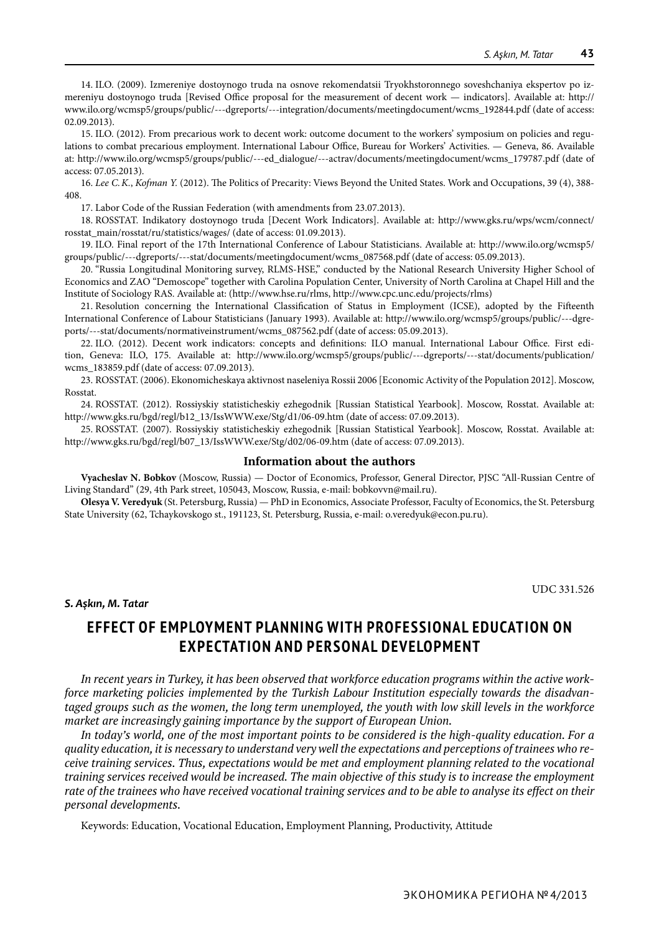# **EFFECT OF EMPLOYMENT PLANNING WITH PROFESSIONAL EDUCATION ON EXPECTATION AND PERSONAL DEVELOPMENT**

*In recent years in Turkey, it has been observed that workforce education programs within the active workforce marketing policies implemented by the Turkish Labour Institution especially towards the disadvantaged groups such as the women, the long term unemployed, the youth with low skill levels in the workforce market are increasingly gaining importance by the support of European Union.*

*In today's world, one of the most important points to be considered is the high-quality education. For a quality education, it is necessary to understand very well the expectations and perceptions of trainees who receive training services. Thus, expectations would be met and employment planning related to the vocational training services received would be increased. The main objective of this study is to increase the employment rate of the trainees who have received vocational training services and to be able to analyse its effect on their personal developments.*

Keywords: Education, Vocational Education, Employment Planning, Productivity, Attitude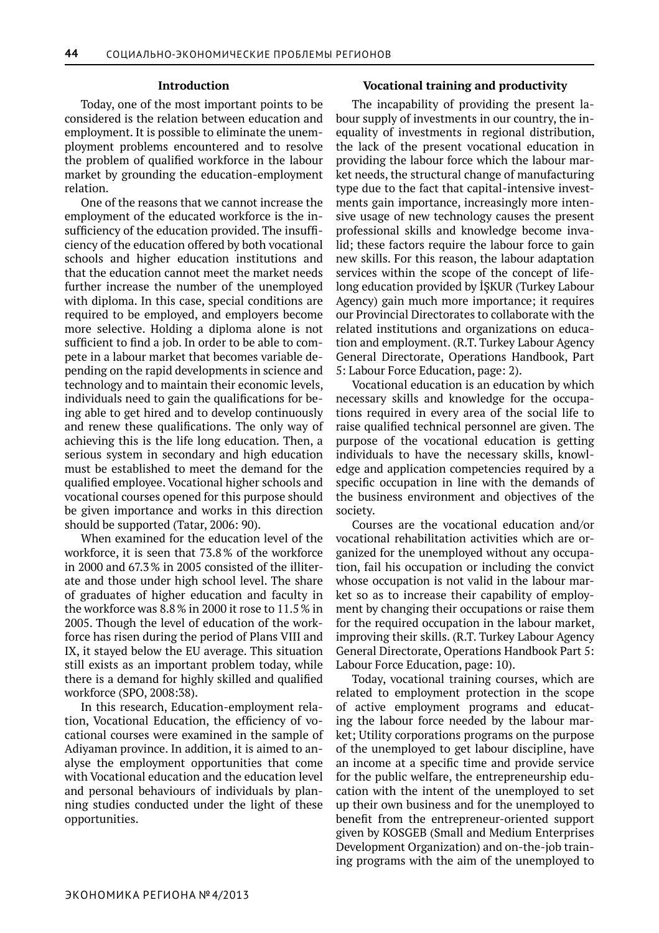#### **Introduction**

Today, one of the most important points to be considered is the relation between education and employment. It is possible to eliminate the unemployment problems encountered and to resolve the problem of qualified workforce in the labour market by grounding the education-employment relation.

One of the reasons that we cannot increase the employment of the educated workforce is the insufficiency of the education provided. The insufficiency of the education offered by both vocational schools and higher education institutions and that the education cannot meet the market needs further increase the number of the unemployed with diploma. In this case, special conditions are required to be employed, and employers become more selective. Holding a diploma alone is not sufficient to find a job. In order to be able to compete in a labour market that becomes variable depending on the rapid developments in science and technology and to maintain their economic levels, individuals need to gain the qualifications for being able to get hired and to develop continuously and renew these qualifications. The only way of achieving this is the life long education. Then, a serious system in secondary and high education must be established to meet the demand for the qualified employee. Vocational higher schools and vocational courses opened for this purpose should be given importance and works in this direction should be supported (Tatar, 2006: 90).

When examined for the education level of the workforce, it is seen that 73.8% of the workforce in 2000 and 67.3% in 2005 consisted of the illiterate and those under high school level. The share of graduates of higher education and faculty in the workforce was 8.8% in 2000 it rose to 11.5% in 2005. Though the level of education of the workforce has risen during the period of Plans VIII and IX, it stayed below the EU average. This situation still exists as an important problem today, while there is a demand for highly skilled and qualified workforce (SPO, 2008:38).

In this research, Education-employment relation, Vocational Education, the efficiency of vocational courses were examined in the sample of Adiyaman province. In addition, it is aimed to analyse the employment opportunities that come with Vocational education and the education level and personal behaviours of individuals by planning studies conducted under the light of these opportunities.

## **Vocational training and productivity**

The incapability of providing the present labour supply of investments in our country, the inequality of investments in regional distribution, the lack of the present vocational education in providing the labour force which the labour market needs, the structural change of manufacturing type due to the fact that capital-intensive investments gain importance, increasingly more intensive usage of new technology causes the present professional skills and knowledge become invalid; these factors require the labour force to gain new skills. For this reason, the labour adaptation services within the scope of the concept of lifelong education provided by İŞKUR (Turkey Labour Agency) gain much more importance; it requires our Provincial Directorates to collaborate with the related institutions and organizations on education and employment. (R.T. Turkey Labour Agency General Directorate, Operations Handbook, Part 5: Labour Force Education, page: 2).

Vocational education is an education by which necessary skills and knowledge for the occupations required in every area of the social life to raise qualified technical personnel are given. The purpose of the vocational education is getting individuals to have the necessary skills, knowledge and application competencies required by a specific occupation in line with the demands of the business environment and objectives of the society.

Courses are the vocational education and/or vocational rehabilitation activities which are organized for the unemployed without any occupation, fail his occupation or including the convict whose occupation is not valid in the labour market so as to increase their capability of employment by changing their occupations or raise them for the required occupation in the labour market, improving their skills. (R.T. Turkey Labour Agency General Directorate, Operations Handbook Part 5: Labour Force Education, page: 10).

Today, vocational training courses, which are related to employment protection in the scope of active employment programs and educating the labour force needed by the labour market; Utility corporations programs on the purpose of the unemployed to get labour discipline, have an income at a specific time and provide service for the public welfare, the entrepreneurship education with the intent of the unemployed to set up their own business and for the unemployed to benefit from the entrepreneur-oriented support given by KOSGEB (Small and Medium Enterprises Development Organization) and on-the-job training programs with the aim of the unemployed to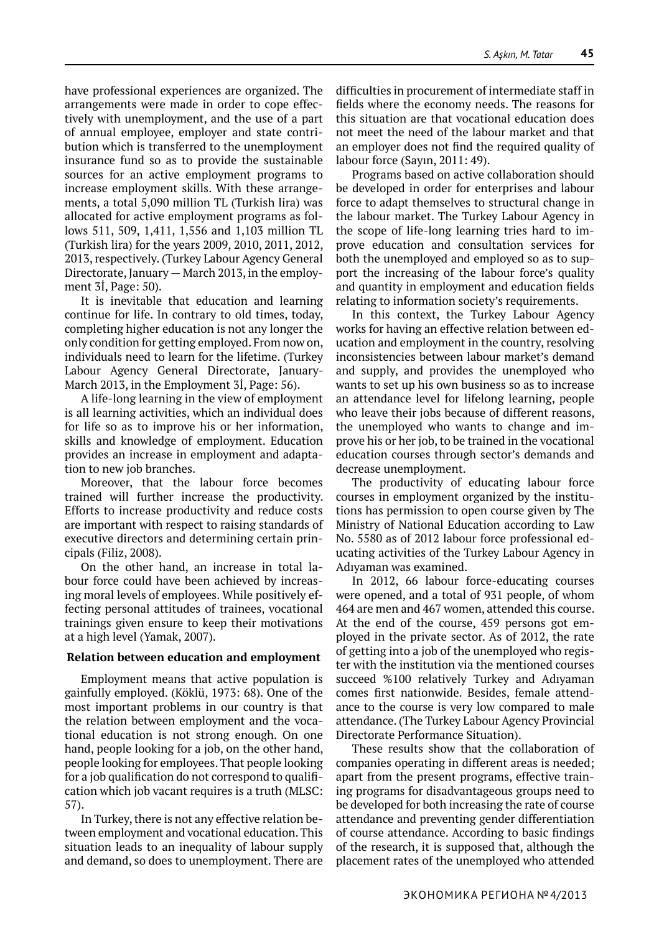have professional experiences are organized. The arrangements were made in order to cope effectively with unemployment, and the use of a part of annual employee, employer and state contribution which is transferred to the unemployment insurance fund so as to provide the sustainable sources for an active employment programs to increase employment skills. With these arrangements, a total 5,090 million TL (Turkish lira) was allocated for active employment programs as follows 511, 509, 1,411, 1,556 and 1,103 million TL (Turkish lira) for the years 2009, 2010, 2011, 2012, 2013, respectively. (Turkey Labour Agency General Directorate, January — March 2013, in the employment 3İ, Page: 50).

It is inevitable that education and learning continue for life. In contrary to old times, today, completing higher education is not any longer the only condition for getting employed. From now on, individuals need to learn for the lifetime. (Turkey Labour Agency General Directorate, January-March 2013, in the Employment 3İ, Page: 56).

A life-long learning in the view of employment is all learning activities, which an individual does for life so as to improve his or her information, skills and knowledge of employment. Education provides an increase in employment and adaptation to new job branches.

Moreover, that the labour force becomes trained will further increase the productivity. Efforts to increase productivity and reduce costs are important with respect to raising standards of executive directors and determining certain principals (Filiz, 2008).

On the other hand, an increase in total labour force could have been achieved by increasing moral levels of employees. While positively effecting personal attitudes of trainees, vocational trainings given ensure to keep their motivations at a high level (Yamak, 2007).

## **Relation between education and employment**

Employment means that active population is gainfully employed. (Köklü, 1973: 68). One of the most important problems in our country is that the relation between employment and the vocational education is not strong enough. On one hand, people looking for a job, on the other hand, people looking for employees. That people looking for a job qualification do not correspond to qualification which job vacant requires is a truth (MLSC: 57).

In Turkey, there is not any effective relation between employment and vocational education. This situation leads to an inequality of labour supply and demand, so does to unemployment. There are difficulties in procurement of intermediate staff in fields where the economy needs. The reasons for this situation are that vocational education does not meet the need of the labour market and that an employer does not find the required quality of labour force (Sayın, 2011: 49).

Programs based on active collaboration should be developed in order for enterprises and labour force to adapt themselves to structural change in the labour market. The Turkey Labour Agency in the scope of life-long learning tries hard to improve education and consultation services for both the unemployed and employed so as to support the increasing of the labour force's quality and quantity in employment and education fields relating to information society's requirements.

In this context, the Turkey Labour Agency works for having an effective relation between education and employment in the country, resolving inconsistencies between labour market's demand and supply, and provides the unemployed who wants to set up his own business so as to increase an attendance level for lifelong learning, people who leave their jobs because of different reasons, the unemployed who wants to change and improve his or her job, to be trained in the vocational education courses through sector's demands and decrease unemployment.

The productivity of educating labour force courses in employment organized by the institutions has permission to open course given by The Ministry of National Education according to Law No. 5580 as of 2012 labour force professional educating activities of the Turkey Labour Agency in Adıyaman was examined.

In 2012, 66 labour force-educating courses were opened, and a total of 931 people, of whom 464 are men and 467 women, attended this course. At the end of the course, 459 persons got employed in the private sector. As of 2012, the rate of getting into a job of the unemployed who register with the institution via the mentioned courses succeed %100 relatively Turkey and Adıyaman comes first nationwide. Besides, female attendance to the course is very low compared to male attendance. (The Turkey Labour Agency Provincial Directorate Performance Situation).

These results show that the collaboration of companies operating in different areas is needed; apart from the present programs, effective training programs for disadvantageous groups need to be developed for both increasing the rate of course attendance and preventing gender differentiation of course attendance. According to basic findings of the research, it is supposed that, although the placement rates of the unemployed who attended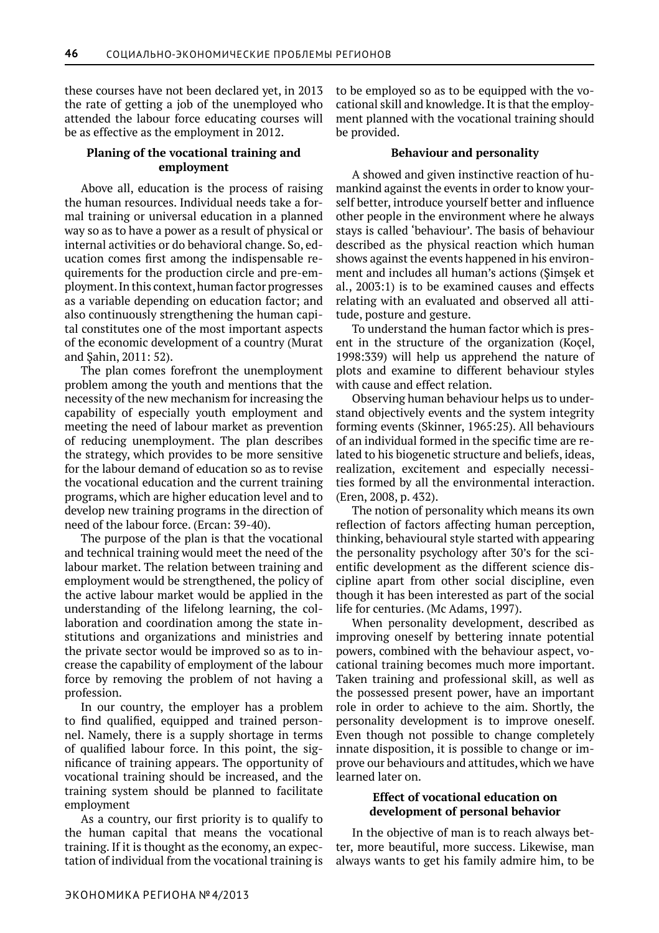these courses have not been declared yet, in 2013 the rate of getting a job of the unemployed who attended the labour force educating courses will be as effective as the employment in 2012.

# **Planing of the vocational training and employment**

Above all, education is the process of raising the human resources. Individual needs take a formal training or universal education in a planned way so as to have a power as a result of physical or internal activities or do behavioral change. So, education comes first among the indispensable requirements for the production circle and pre-employment. In this context, human factor progresses as a variable depending on education factor; and also continuously strengthening the human capital constitutes one of the most important aspects of the economic development of a country (Murat and Şahin, 2011: 52).

The plan comes forefront the unemployment problem among the youth and mentions that the necessity of the new mechanism for increasing the capability of especially youth employment and meeting the need of labour market as prevention of reducing unemployment. The plan describes the strategy, which provides to be more sensitive for the labour demand of education so as to revise the vocational education and the current training programs, which are higher education level and to develop new training programs in the direction of need of the labour force. (Ercan: 39-40).

The purpose of the plan is that the vocational and technical training would meet the need of the labour market. The relation between training and employment would be strengthened, the policy of the active labour market would be applied in the understanding of the lifelong learning, the collaboration and coordination among the state institutions and organizations and ministries and the private sector would be improved so as to increase the capability of employment of the labour force by removing the problem of not having a profession.

In our country, the employer has a problem to find qualified, equipped and trained personnel. Namely, there is a supply shortage in terms of qualified labour force. In this point, the significance of training appears. The opportunity of vocational training should be increased, and the training system should be planned to facilitate employment

As a country, our first priority is to qualify to the human capital that means the vocational training. If it is thought as the economy, an expectation of individual from the vocational training is to be employed so as to be equipped with the vocational skill and knowledge. It is that the employment planned with the vocational training should be provided.

## **Behaviour and personality**

A showed and given instinctive reaction of humankind against the events in order to know yourself better, introduce yourself better and influence other people in the environment where he always stays is called 'behaviour'. The basis of behaviour described as the physical reaction which human shows against the events happened in his environment and includes all human's actions (Şimşek et al., 2003:1) is to be examined causes and effects relating with an evaluated and observed all attitude, posture and gesture.

To understand the human factor which is present in the structure of the organization (Koçel, 1998:339) will help us apprehend the nature of plots and examine to different behaviour styles with cause and effect relation.

Observing human behaviour helps us to understand objectively events and the system integrity forming events (Skinner, 1965:25). All behaviours of an individual formed in the specific time are related to his biogenetic structure and beliefs, ideas, realization, excitement and especially necessities formed by all the environmental interaction. (Eren, 2008, p. 432).

The notion of personality which means its own reflection of factors affecting human perception, thinking, behavioural style started with appearing the personality psychology after 30's for the scientific development as the different science discipline apart from other social discipline, even though it has been interested as part of the social life for centuries. (Mc Adams, 1997).

When personality development, described as improving oneself by bettering innate potential powers, combined with the behaviour aspect, vocational training becomes much more important. Taken training and professional skill, as well as the possessed present power, have an important role in order to achieve to the aim. Shortly, the personality development is to improve oneself. Even though not possible to change completely innate disposition, it is possible to change or improve our behaviours and attitudes, which we have learned later on.

## **Effect of vocational education on development of personal behavior**

In the objective of man is to reach always better, more beautiful, more success. Likewise, man always wants to get his family admire him, to be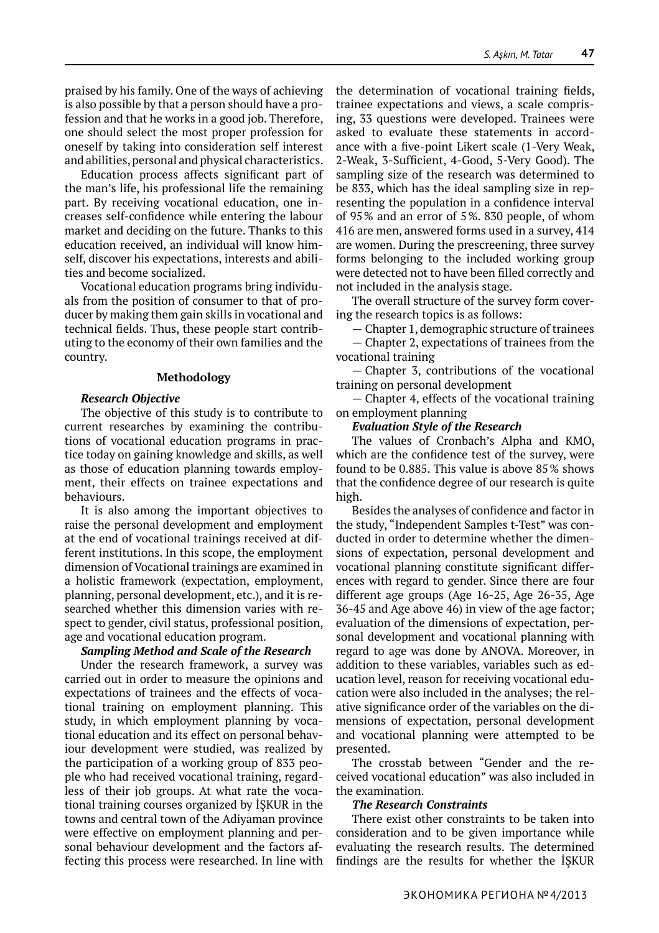praised by his family. One of the ways of achieving is also possible by that a person should have a profession and that he works in a good job. Therefore, one should select the most proper profession for oneself by taking into consideration self interest and abilities, personal and physical characteristics.

Education process affects significant part of the man's life, his professional life the remaining part. By receiving vocational education, one increases self-confidence while entering the labour market and deciding on the future. Thanks to this education received, an individual will know himself, discover his expectations, interests and abilities and become socialized.

Vocational education programs bring individuals from the position of consumer to that of producer by making them gain skills in vocational and technical fields. Thus, these people start contributing to the economy of their own families and the country.

#### **Methodology**

# *Research Objective*

The objective of this study is to contribute to current researches by examining the contributions of vocational education programs in practice today on gaining knowledge and skills, as well as those of education planning towards employment, their effects on trainee expectations and behaviours.

It is also among the important objectives to raise the personal development and employment at the end of vocational trainings received at different institutions. In this scope, the employment dimension of Vocational trainings are examined in a holistic framework (expectation, employment, planning, personal development, etc.), and it is researched whether this dimension varies with respect to gender, civil status, professional position, age and vocational education program.

## *Sampling Method and Scale of the Research*

Under the research framework, a survey was carried out in order to measure the opinions and expectations of trainees and the effects of vocational training on employment planning. This study, in which employment planning by vocational education and its effect on personal behaviour development were studied, was realized by the participation of a working group of 833 people who had received vocational training, regardless of their job groups. At what rate the vocational training courses organized by İŞKUR in the towns and central town of the Adiyaman province were effective on employment planning and personal behaviour development and the factors affecting this process were researched. In line with the determination of vocational training fields, trainee expectations and views, a scale comprising, 33 questions were developed. Trainees were asked to evaluate these statements in accordance with a five-point Likert scale (1-Very Weak, 2-Weak, 3-Sufficient, 4-Good, 5-Very Good). The sampling size of the research was determined to be 833, which has the ideal sampling size in representing the population in a confidence interval of 95% and an error of 5%. 830 people, of whom 416 are men, answered forms used in a survey, 414 are women. During the prescreening, three survey forms belonging to the included working group were detected not to have been filled correctly and not included in the analysis stage.

The overall structure of the survey form covering the research topics is as follows:

— Chapter 1, demographic structure of trainees

— Chapter 2, expectations of trainees from the vocational training

— Chapter 3, contributions of the vocational training on personal development

— Chapter 4, effects of the vocational training on employment planning

#### *Evaluation Style of the Research*

The values of Cronbach's Alpha and KMO, which are the confidence test of the survey, were found to be 0.885. This value is above 85% shows that the confidence degree of our research is quite high.

Besides the analyses of confidence and factor in the study, "Independent Samples t-Test" was conducted in order to determine whether the dimensions of expectation, personal development and vocational planning constitute significant differences with regard to gender. Since there are four different age groups (Age 16-25, Age 26-35, Age 36-45 and Age above 46) in view of the age factor; evaluation of the dimensions of expectation, personal development and vocational planning with regard to age was done by ANOVA. Moreover, in addition to these variables, variables such as education level, reason for receiving vocational education were also included in the analyses; the relative significance order of the variables on the dimensions of expectation, personal development and vocational planning were attempted to be presented.

The crosstab between "Gender and the received vocational education" was also included in the examination.

#### *The Research Constraints*

There exist other constraints to be taken into consideration and to be given importance while evaluating the research results. The determined findings are the results for whether the İŞKUR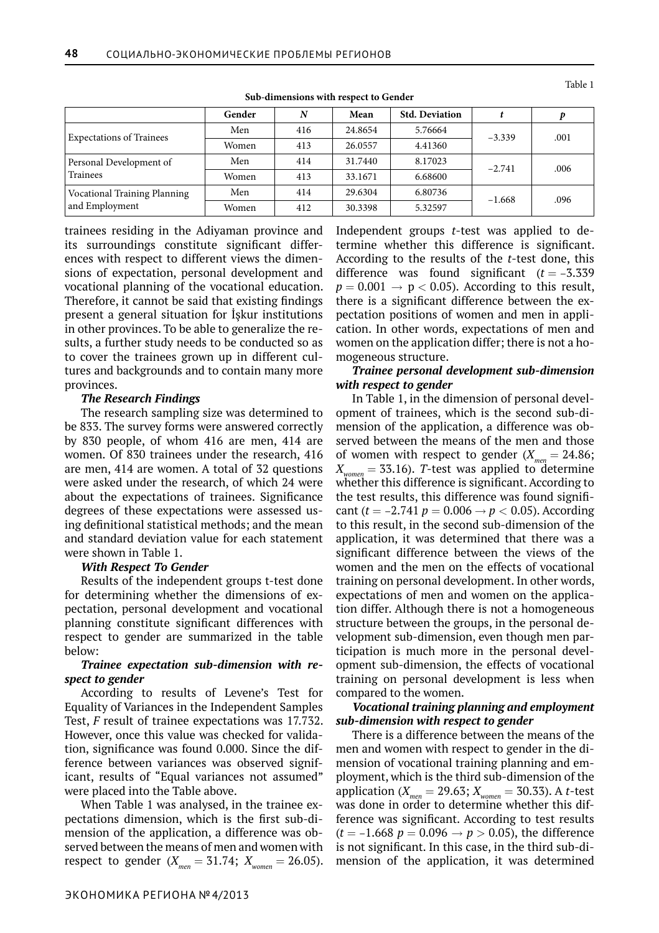|                                 | Gender | N   | Mean    | <b>Std. Deviation</b> |          |      |
|---------------------------------|--------|-----|---------|-----------------------|----------|------|
| <b>Expectations of Trainees</b> | Men    | 416 | 24.8654 | 5.76664               | $-3.339$ | .001 |
|                                 | Women  | 413 | 26.0557 | 4.41360               |          |      |
| Personal Development of         | Men    | 414 | 31.7440 | 8.17023               | $-2.741$ | .006 |
| <b>Trainees</b>                 | Women  | 413 | 33.1671 | 6.68600               |          |      |
| Vocational Training Planning    | Men    | 414 | 29.6304 | 6.80736               | $-1.668$ | .096 |
| and Employment                  | Women  | 412 | 30.3398 | 5.32597               |          |      |

**Sub-dimensions with respect to Gender**

trainees residing in the Adiyaman province and its surroundings constitute significant differences with respect to different views the dimensions of expectation, personal development and vocational planning of the vocational education. Therefore, it cannot be said that existing findings present a general situation for İşkur institutions in other provinces. To be able to generalize the results, a further study needs to be conducted so as to cover the trainees grown up in different cultures and backgrounds and to contain many more provinces.

## *The Research Findings*

The research sampling size was determined to be 833. The survey forms were answered correctly by 830 people, of whom 416 are men, 414 are women. Of 830 trainees under the research, 416 are men, 414 are women. A total of 32 questions were asked under the research, of which 24 were about the expectations of trainees. Significance degrees of these expectations were assessed using definitional statistical methods; and the mean and standard deviation value for each statement were shown in Table 1.

## *With Respect To Gender*

Results of the independent groups t-test done for determining whether the dimensions of expectation, personal development and vocational planning constitute significant differences with respect to gender are summarized in the table below:

## *Trainee expectation sub-dimension with respect to gender*

According to results of Levene's Test for Equality of Variances in the Independent Samples Test, *F* result of trainee expectations was 17.732. However, once this value was checked for validation, significance was found 0.000. Since the difference between variances was observed significant, results of "Equal variances not assumed" were placed into the Table above.

When Table 1 was analysed, in the trainee expectations dimension, which is the first sub-dimension of the application, a difference was observed between the means of men and women with respect to gender ( $X_{\text{mean}} = 31.74$ ;  $X_{\text{woman}} = 26.05$ ). Independent groups *t*-test was applied to determine whether this difference is significant. According to the results of the *t*-test done, this difference was found significant  $(t = -3.339)$  $p = 0.001 \rightarrow p < 0.05$ ). According to this result, there is a significant difference between the expectation positions of women and men in application. In other words, expectations of men and women on the application differ; there is not a homogeneous structure.

# *Trainee personal development sub-dimension with respect to gender*

In Table 1, in the dimension of personal development of trainees, which is the second sub-dimension of the application, a difference was observed between the means of the men and those of women with respect to gender  $(X_{\text{mem}} = 24.86)$ ;  $X_{\text{women}} = 33.16$ . *T*-test was applied to determine whether this difference is significant. According to the test results, this difference was found significant (*t* = -2.741 *p* = 0.006  $\rightarrow$  *p* < 0.05). According to this result, in the second sub-dimension of the application, it was determined that there was a significant difference between the views of the women and the men on the effects of vocational training on personal development. In other words, expectations of men and women on the application differ. Although there is not a homogeneous structure between the groups, in the personal development sub-dimension, even though men participation is much more in the personal development sub-dimension, the effects of vocational training on personal development is less when compared to the women.

## *Vocational training planning and employment sub-dimension with respect to gender*

There is a difference between the means of the men and women with respect to gender in the dimension of vocational training planning and employment, which is the third sub-dimension of the application (*Xmen* = 29.63; *Xwomen* = 30.33). A *t*-test was done in order to determine whether this difference was significant. According to test results  $(t = -1.668 \ p = 0.096 \rightarrow p > 0.05)$ , the difference is not significant. In this case, in the third sub-dimension of the application, it was determined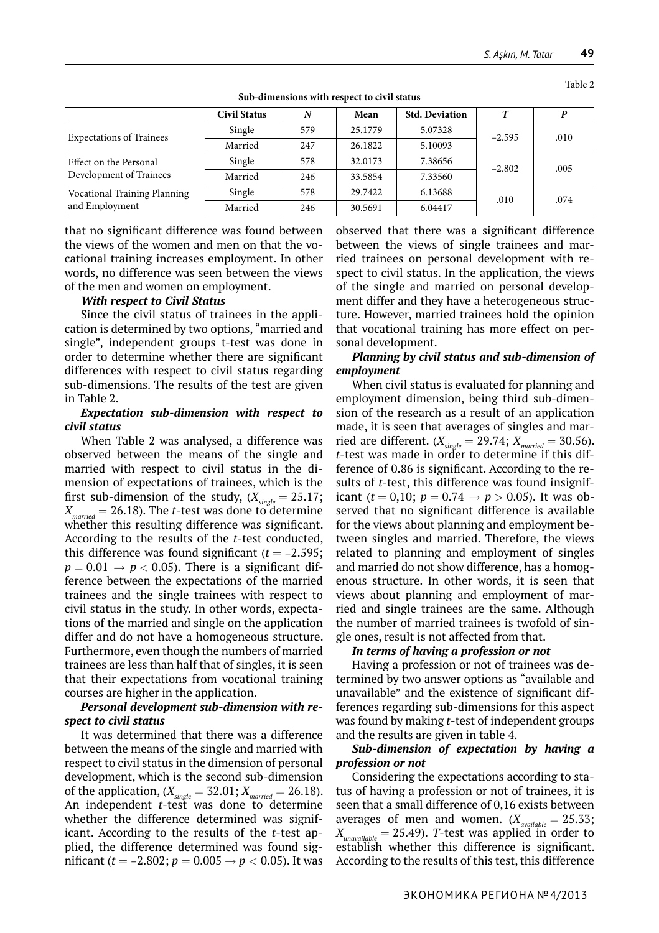|                                 | <b>Civil Status</b> | N   | Mean    | <b>Std. Deviation</b> | т        | D    |
|---------------------------------|---------------------|-----|---------|-----------------------|----------|------|
| <b>Expectations of Trainees</b> | Single              | 579 | 25.1779 | 5.07328               | $-2.595$ | .010 |
|                                 | Married             | 247 | 26.1822 | 5.10093               |          |      |
| Effect on the Personal          | Single              | 578 | 32.0173 | 7.38656               | $-2.802$ | .005 |
| Development of Trainees         | Married             | 246 | 33.5854 | 7.33560               |          |      |
| Vocational Training Planning    | Single              | 578 | 29.7422 | 6.13688               | .010     | .074 |
| and Employment                  | Married             | 246 | 30.5691 | 6.04417               |          |      |

**Sub-dimensions with respect to civil status**

that no significant difference was found between the views of the women and men on that the vocational training increases employment. In other words, no difference was seen between the views of the men and women on employment.

#### *With respect to Civil Status*

Since the civil status of trainees in the application is determined by two options, "married and single", independent groups t-test was done in order to determine whether there are significant differences with respect to civil status regarding sub-dimensions. The results of the test are given in Table 2.

## *Expectation sub-dimension with respect to civil status*

When Table 2 was analysed, a difference was observed between the means of the single and married with respect to civil status in the dimension of expectations of trainees, which is the first sub-dimension of the study,  $(X_{single} = 25.17;$  $X_{\text{marticle}} = 26.18$ ). The *t*-test was done to determine whether this resulting difference was significant. According to the results of the *t*-test conducted, this difference was found significant  $(t = -2.595)$ ;  $p = 0.01 \rightarrow p < 0.05$ ). There is a significant difference between the expectations of the married trainees and the single trainees with respect to civil status in the study. In other words, expectations of the married and single on the application differ and do not have a homogeneous structure. Furthermore, even though the numbers of married trainees are less than half that of singles, it is seen that their expectations from vocational training courses are higher in the application.

## *Personal development sub-dimension with respect to civil status*

It was determined that there was a difference between the means of the single and married with respect to civil status in the dimension of personal development, which is the second sub-dimension of the application,  $(X_{single} = 32.01; X_{marticle} = 26.18)$ . An independent *t*-test was done to determine whether the difference determined was significant. According to the results of the *t*-test applied, the difference determined was found significant (*t* = -2.802; *p* =  $0.005 \rightarrow p < 0.05$ ). It was

observed that there was a significant difference between the views of single trainees and married trainees on personal development with respect to civil status. In the application, the views of the single and married on personal development differ and they have a heterogeneous structure. However, married trainees hold the opinion that vocational training has more effect on personal development.

## *Planning by civil status and sub-dimension of employment*

When civil status is evaluated for planning and employment dimension, being third sub-dimension of the research as a result of an application made, it is seen that averages of singles and married are different. ( $X_{single} = 29.74$ ;  $X_{marticle} = 30.56$ ). *t*-test was made in order to determine if this difference of 0.86 is significant. According to the results of *t-*test, this difference was found insignificant (*t* = 0,10; *p* = 0.74  $\rightarrow$  *p* > 0.05). It was observed that no significant difference is available for the views about planning and employment between singles and married. Therefore, the views related to planning and employment of singles and married do not show difference, has a homogenous structure. In other words, it is seen that views about planning and employment of married and single trainees are the same. Although the number of married trainees is twofold of single ones, result is not affected from that.

# *In terms of having a profession or not*

Having a profession or not of trainees was determined by two answer options as "available and unavailable" and the existence of significant differences regarding sub-dimensions for this aspect was found by making *t*-test of independent groups and the results are given in table 4.

## *Sub-dimension of expectation by having a profession or not*

Considering the expectations according to status of having a profession or not of trainees, it is seen that a small difference of 0,16 exists between averages of men and women.  $(X_{available} = 25.33;$  $X_{unavailable} = 25.49$ . *T*-test was applied in order to establish whether this difference is significant. According to the results of this test, this difference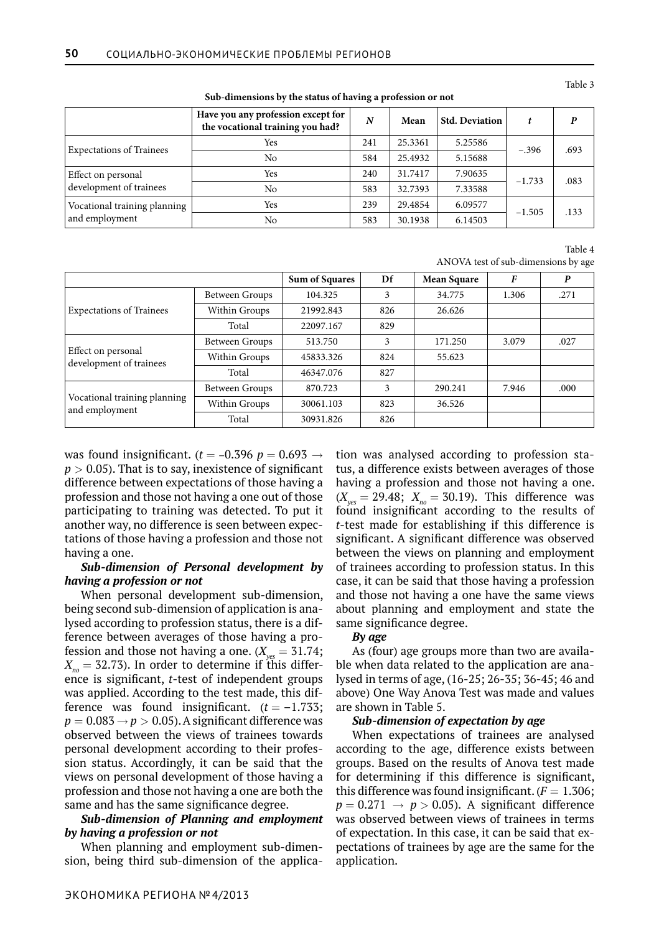|                                 | Have you any profession except for<br>the vocational training you had? | N   | Mean    | <b>Std. Deviation</b> | t        | P    |  |
|---------------------------------|------------------------------------------------------------------------|-----|---------|-----------------------|----------|------|--|
| <b>Expectations of Trainees</b> | Yes                                                                    | 241 | 25.3361 | 5.25586               | $-.396$  | .693 |  |
|                                 | No                                                                     | 584 | 25.4932 | 5.15688               |          |      |  |
| Effect on personal              | Yes                                                                    | 240 | 31.7417 | 7.90635               | $-1.733$ | .083 |  |
| development of trainees         | No                                                                     | 583 | 32.7393 | 7.33588               |          |      |  |
| Vocational training planning    | Yes                                                                    | 239 | 29.4854 | 6.09577               | $-1.505$ | .133 |  |
| and employment                  | No                                                                     | 583 | 30.1938 | 6.14503               |          |      |  |

**Sub-dimensions by the status of having a profession or not**

Table 4

Table 3

ANOVA test of sub-dimensions by age

|                                                |                | <b>Sum of Squares</b> | Df  | <b>Mean Square</b> | F     | P    |
|------------------------------------------------|----------------|-----------------------|-----|--------------------|-------|------|
|                                                | Between Groups | 104.325               | 3   | 34.775             | 1.306 | .271 |
| <b>Expectations of Trainees</b>                | Within Groups  | 21992.843             | 826 | 26.626             |       |      |
|                                                | Total          | 22097.167             | 829 |                    |       |      |
|                                                | Between Groups | 513.750               | 3   | 171.250            | 3.079 | .027 |
| Effect on personal<br>development of trainees  | Within Groups  | 45833.326             | 824 | 55.623             |       |      |
|                                                | Total          | 46347.076             | 827 |                    |       |      |
|                                                | Between Groups | 870.723               | 3   | 290.241            | 7.946 | .000 |
| Vocational training planning<br>and employment | Within Groups  | 30061.103             | 823 | 36.526             |       |      |
|                                                | Total          | 30931.826             | 826 |                    |       |      |

was found insignificant.  $(t = -0.396 \text{ p} = 0.693 \rightarrow$  $p > 0.05$ ). That is to say, inexistence of significant difference between expectations of those having a profession and those not having a one out of those participating to training was detected. To put it another way, no difference is seen between expectations of those having a profession and those not having a one.

#### *Sub-dimension of Personal development by having a profession or not*

When personal development sub-dimension, being second sub-dimension of application is analysed according to profession status, there is a difference between averages of those having a profession and those not having a one.  $(X_{\text{yes}} = 31.74;$  $X_{n_0} = 32.73$ ). In order to determine if this difference is significant, *t*-test of independent groups was applied. According to the test made, this difference was found insignificant.  $(t = -1.733)$ ;  $p = 0.083 \rightarrow p > 0.05$ . A significant difference was observed between the views of trainees towards personal development according to their profession status. Accordingly, it can be said that the views on personal development of those having a profession and those not having a one are both the same and has the same significance degree.

## *Sub-dimension of Planning and employment by having a profession or not*

When planning and employment sub-dimension, being third sub-dimension of the application was analysed according to profession status, a difference exists between averages of those having a profession and those not having a one.  $(X_{\text{yes}} = 29.48; X_{\text{no}} = 30.19)$ . This difference was found insignificant according to the results of *t*-test made for establishing if this difference is significant. A significant difference was observed between the views on planning and employment of trainees according to profession status. In this case, it can be said that those having a profession and those not having a one have the same views about planning and employment and state the same significance degree.

## *By age*

As (four) age groups more than two are available when data related to the application are analysed in terms of age, (16-25; 26-35; 36-45; 46 and above) One Way Anova Test was made and values are shown in Table 5.

#### *Sub-dimension of expectation by age*

When expectations of trainees are analysed according to the age, difference exists between groups. Based on the results of Anova test made for determining if this difference is significant, this difference was found insignificant.  $(F = 1.306)$ ;  $p = 0.271 \rightarrow p > 0.05$ . A significant difference was observed between views of trainees in terms of expectation. In this case, it can be said that expectations of trainees by age are the same for the application.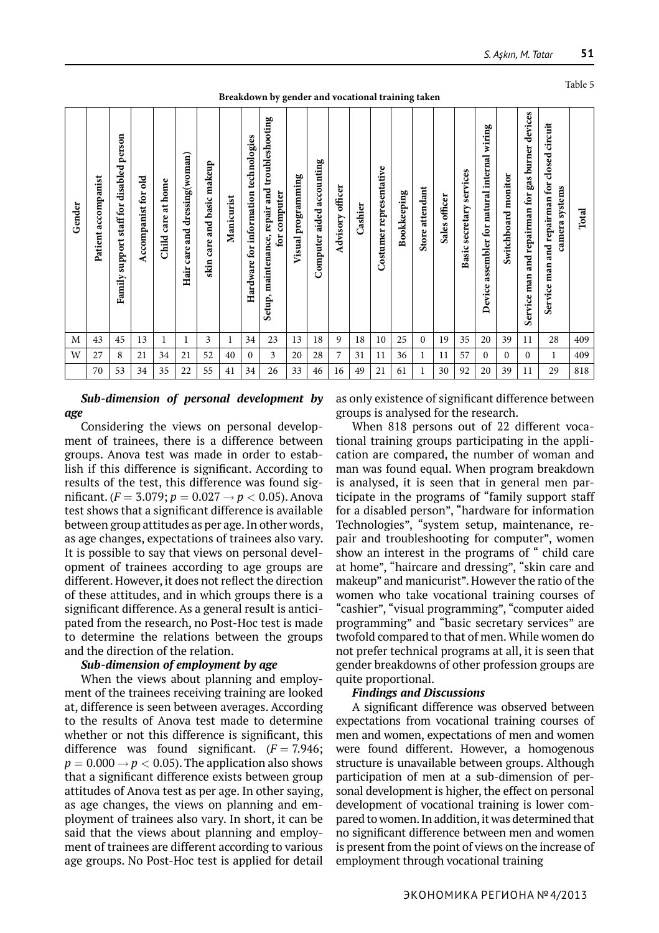Table 5

**Breakdown by gender and vocational training taken**

| Gender | Patient accompanist | Family support staff for disabled person | $\overline{d}$<br>for<br>Accompanist | Child care at home | dressing (woman)<br>Hair care and | skin care and basic makeup | Manicurist | Hardware for information technologies | Setup, maintenance, repair and troubleshooting<br>for computer | programming<br>Visual | aided accounting<br>Computer | Advisory officer | Cashier | Costumer representative | Bookkeeping | Store attendant  | Sales officer | Basic secretary services | Device assembler for natural internal wiring | Switchboard monitor | Service man and repairman for gas burner devices | Service man and repairman for closed circuit<br>camera systems | Total |
|--------|---------------------|------------------------------------------|--------------------------------------|--------------------|-----------------------------------|----------------------------|------------|---------------------------------------|----------------------------------------------------------------|-----------------------|------------------------------|------------------|---------|-------------------------|-------------|------------------|---------------|--------------------------|----------------------------------------------|---------------------|--------------------------------------------------|----------------------------------------------------------------|-------|
| M      | 43                  | 45                                       | 13                                   | 1                  | 1                                 | 3                          | 1          | 34                                    | 23                                                             | 13                    | 18                           | 9                | 18      | 10                      | 25          | $\boldsymbol{0}$ | 19            | 35                       | 20                                           | 39                  | 11                                               | 28                                                             | 409   |
| W      | 27                  | 8                                        | 21                                   | 34                 | 21                                | 52                         | 40         | $\theta$                              | 3                                                              | 20                    | 28                           | 7                | 31      | 11                      | 36          | 1                | 11            | 57                       | $\Omega$                                     | $\Omega$            | $\Omega$                                         | 1                                                              | 409   |
|        |                     |                                          |                                      |                    |                                   |                            |            |                                       |                                                                |                       |                              |                  |         |                         |             |                  |               |                          |                                              |                     |                                                  |                                                                |       |

*Sub-dimension of personal development by age*

Considering the views on personal development of trainees, there is a difference between groups. Anova test was made in order to establish if this difference is significant. According to results of the test, this difference was found significant. (*F* = 3.079; *p* = 0.027  $\rightarrow$  *p* < 0.05). Anova test shows that a significant difference is available between group attitudes as per age. In other words, as age changes, expectations of trainees also vary. It is possible to say that views on personal development of trainees according to age groups are different. However, it does not reflect the direction of these attitudes, and in which groups there is a significant difference. As a general result is anticipated from the research, no Post-Hoc test is made to determine the relations between the groups and the direction of the relation.

#### *Sub-dimension of employment by age*

When the views about planning and employment of the trainees receiving training are looked at, difference is seen between averages. According to the results of Anova test made to determine whether or not this difference is significant, this difference was found significant.  $(F = 7.946)$ ;  $p = 0.000 \rightarrow p < 0.05$ . The application also shows that a significant difference exists between group attitudes of Anova test as per age. In other saying, as age changes, the views on planning and employment of trainees also vary. In short, it can be said that the views about planning and employment of trainees are different according to various age groups. No Post-Hoc test is applied for detail as only existence of significant difference between groups is analysed for the research.

When 818 persons out of 22 different vocational training groups participating in the application are compared, the number of woman and man was found equal. When program breakdown is analysed, it is seen that in general men participate in the programs of "family support staff for a disabled person", "hardware for information Technologies", "system setup, maintenance, repair and troubleshooting for computer", women show an interest in the programs of " child care at home", "haircare and dressing", "skin care and makeup" and manicurist". However the ratio of the women who take vocational training courses of "cashier", "visual programming", "computer aided programming" and "basic secretary services" are twofold compared to that of men. While women do not prefer technical programs at all, it is seen that gender breakdowns of other profession groups are quite proportional.

#### *Findings and Discussions*

A significant difference was observed between expectations from vocational training courses of men and women, expectations of men and women were found different. However, a homogenous structure is unavailable between groups. Although participation of men at a sub-dimension of personal development is higher, the effect on personal development of vocational training is lower compared to women. In addition, it was determined that no significant difference between men and women is present from the point of views on the increase of employment through vocational training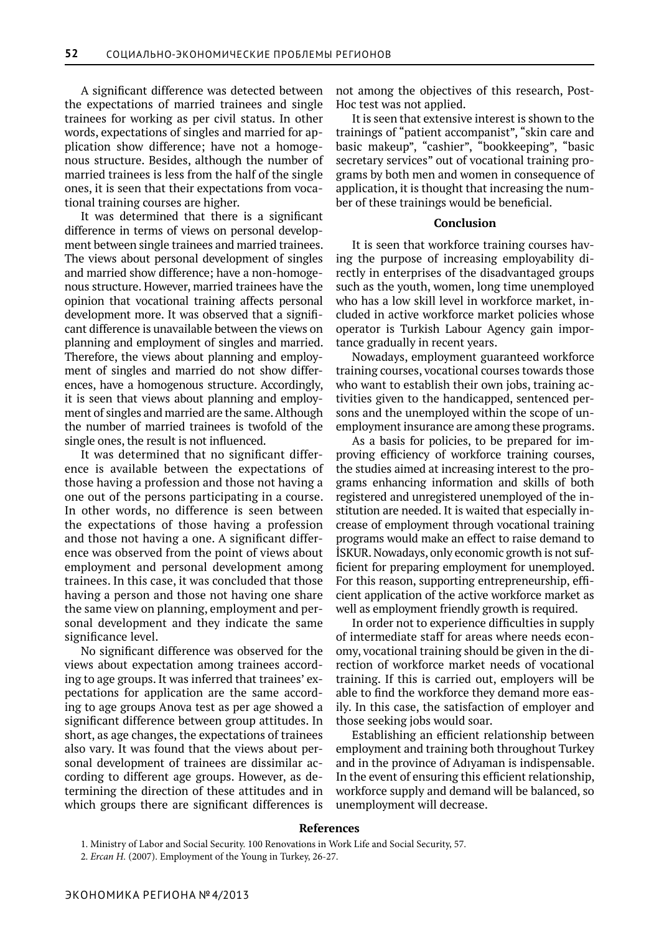A significant difference was detected between the expectations of married trainees and single trainees for working as per civil status. In other words, expectations of singles and married for application show difference; have not a homogenous structure. Besides, although the number of married trainees is less from the half of the single ones, it is seen that their expectations from vocational training courses are higher.

It was determined that there is a significant difference in terms of views on personal development between single trainees and married trainees. The views about personal development of singles and married show difference; have a non-homogenous structure. However, married trainees have the opinion that vocational training affects personal development more. It was observed that a significant difference is unavailable between the views on planning and employment of singles and married. Therefore, the views about planning and employment of singles and married do not show differences, have a homogenous structure. Accordingly, it is seen that views about planning and employment of singles and married are the same. Although the number of married trainees is twofold of the single ones, the result is not influenced.

It was determined that no significant difference is available between the expectations of those having a profession and those not having a one out of the persons participating in a course. In other words, no difference is seen between the expectations of those having a profession and those not having a one. A significant difference was observed from the point of views about employment and personal development among trainees. In this case, it was concluded that those having a person and those not having one share the same view on planning, employment and personal development and they indicate the same significance level.

No significant difference was observed for the views about expectation among trainees according to age groups. It was inferred that trainees' expectations for application are the same according to age groups Anova test as per age showed a significant difference between group attitudes. In short, as age changes, the expectations of trainees also vary. It was found that the views about personal development of trainees are dissimilar according to different age groups. However, as determining the direction of these attitudes and in which groups there are significant differences is

not among the objectives of this research, Post-Hoc test was not applied.

It is seen that extensive interest is shown to the trainings of "patient accompanist", "skin care and basic makeup", "cashier", "bookkeeping", "basic secretary services" out of vocational training programs by both men and women in consequence of application, it is thought that increasing the number of these trainings would be beneficial.

#### **Conclusion**

It is seen that workforce training courses having the purpose of increasing employability directly in enterprises of the disadvantaged groups such as the youth, women, long time unemployed who has a low skill level in workforce market, included in active workforce market policies whose operator is Turkish Labour Agency gain importance gradually in recent years.

Nowadays, employment guaranteed workforce training courses, vocational courses towards those who want to establish their own jobs, training activities given to the handicapped, sentenced persons and the unemployed within the scope of unemployment insurance are among these programs.

As a basis for policies, to be prepared for improving efficiency of workforce training courses, the studies aimed at increasing interest to the programs enhancing information and skills of both registered and unregistered unemployed of the institution are needed. It is waited that especially increase of employment through vocational training programs would make an effect to raise demand to İSKUR. Nowadays, only economic growth is not sufficient for preparing employment for unemployed. For this reason, supporting entrepreneurship, efficient application of the active workforce market as well as employment friendly growth is required.

In order not to experience difficulties in supply of intermediate staff for areas where needs economy, vocational training should be given in the direction of workforce market needs of vocational training. If this is carried out, employers will be able to find the workforce they demand more easily. In this case, the satisfaction of employer and those seeking jobs would soar.

Establishing an efficient relationship between employment and training both throughout Turkey and in the province of Adıyaman is indispensable. In the event of ensuring this efficient relationship, workforce supply and demand will be balanced, so unemployment will decrease.

#### **References**

<sup>1.</sup> Ministry of Labor and Social Security. 100 Renovations in Work Life and Social Security, 57.

<sup>2.</sup> *Ercan H.* (2007). Employment of the Young in Turkey, 26-27.